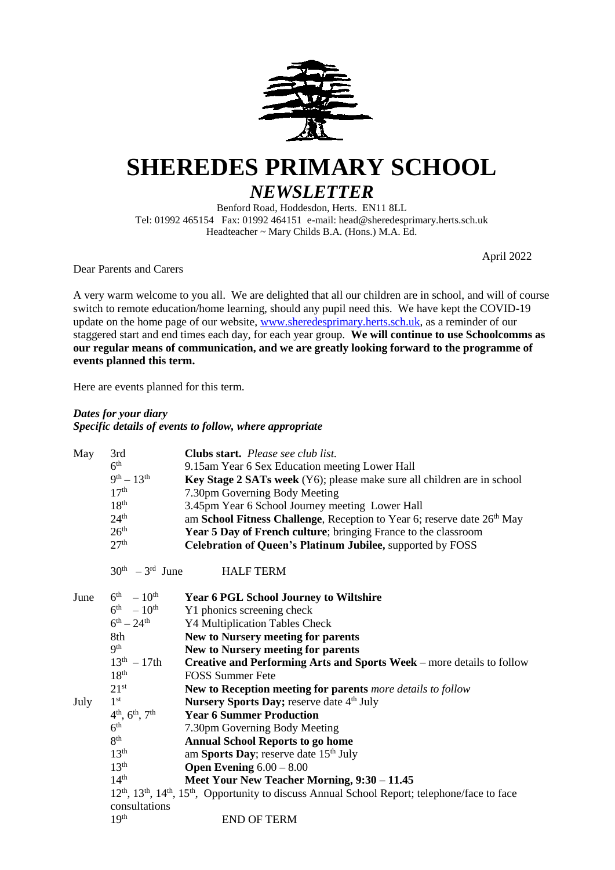

# **SHEREDES PRIMARY SCHOOL** *NEWSLETTER*

Benford Road, Hoddesdon, Herts. EN11 8LL Tel: 01992 465154 Fax: 01992 464151 e-mail: head@sheredesprimary.herts.sch.uk Headteacher ~ Mary Childs B.A. (Hons.) M.A. Ed.

April 2022

Dear Parents and Carers

**events planned this term.**

A very warm welcome to you all. We are delighted that all our children are in school, and will of course switch to remote education/home learning, should any pupil need this. We have kept the COVID-19 update on the home page of our website, [www.sheredesprimary.herts.sch.uk,](http://www.sheredesprimary.herts.sch.uk/) as a reminder of our staggered start and end times each day, for each year group. **We will continue to use Schoolcomms as our regular means of communication, and we are greatly looking forward to the programme of** 

Here are events planned for this term.

# *Dates for your diary Specific details of events to follow, where appropriate*

| May  | 3rd                                | Clubs start. Please see club list.                                                                                                              |
|------|------------------------------------|-------------------------------------------------------------------------------------------------------------------------------------------------|
|      | 6 <sup>th</sup>                    | 9.15am Year 6 Sex Education meeting Lower Hall                                                                                                  |
|      | $9^{th} - 13^{th}$                 | Key Stage 2 SATs week (Y6); please make sure all children are in school                                                                         |
|      | 17 <sup>th</sup>                   | 7.30pm Governing Body Meeting                                                                                                                   |
|      | 18 <sup>th</sup>                   | 3.45pm Year 6 School Journey meeting Lower Hall                                                                                                 |
|      | 24 <sup>th</sup>                   | am School Fitness Challenge, Reception to Year 6; reserve date 26 <sup>th</sup> May                                                             |
|      | 26 <sup>th</sup>                   | Year 5 Day of French culture; bringing France to the classroom                                                                                  |
|      | 27 <sup>th</sup>                   | Celebration of Queen's Platinum Jubilee, supported by FOSS                                                                                      |
|      | $30th - 3rd$ June                  | <b>HALF TERM</b>                                                                                                                                |
| June | $6^{th} - 10^{th}$                 | <b>Year 6 PGL School Journey to Wiltshire</b>                                                                                                   |
|      | $6^{\text{th}}$ - $10^{\text{th}}$ | Y1 phonics screening check                                                                                                                      |
|      | $6^{th} - 24^{th}$                 | Y4 Multiplication Tables Check                                                                                                                  |
|      | 8th                                | New to Nursery meeting for parents                                                                                                              |
|      | $\mathbf{Q}^{\text{th}}$           | New to Nursery meeting for parents                                                                                                              |
|      | $13^{th} - 17th$                   | Creative and Performing Arts and Sports Week - more details to follow                                                                           |
|      | 18 <sup>th</sup>                   | <b>FOSS Summer Fete</b>                                                                                                                         |
|      | $21^{st}$                          | New to Reception meeting for parents more details to follow                                                                                     |
| July | 1 <sup>st</sup>                    | Nursery Sports Day; reserve date 4 <sup>th</sup> July                                                                                           |
|      | $4^{th}$ , $6^{th}$ , $7^{th}$     | <b>Year 6 Summer Production</b>                                                                                                                 |
|      | 6 <sup>th</sup>                    | 7.30pm Governing Body Meeting                                                                                                                   |
|      | 8 <sup>th</sup>                    | <b>Annual School Reports to go home</b>                                                                                                         |
|      | 13 <sup>th</sup>                   | am Sports Day; reserve date 15 <sup>th</sup> July                                                                                               |
|      | 13 <sup>th</sup>                   | <b>Open Evening</b> $6.00 - 8.00$                                                                                                               |
|      | 14 <sup>th</sup>                   | Meet Your New Teacher Morning, 9:30 - 11.45                                                                                                     |
|      |                                    | 12 <sup>th</sup> , 13 <sup>th</sup> , 14 <sup>th</sup> , 15 <sup>th</sup> , Opportunity to discuss Annual School Report; telephone/face to face |
|      | consultations<br>19 <sup>th</sup>  |                                                                                                                                                 |
|      |                                    | <b>END OF TERM</b>                                                                                                                              |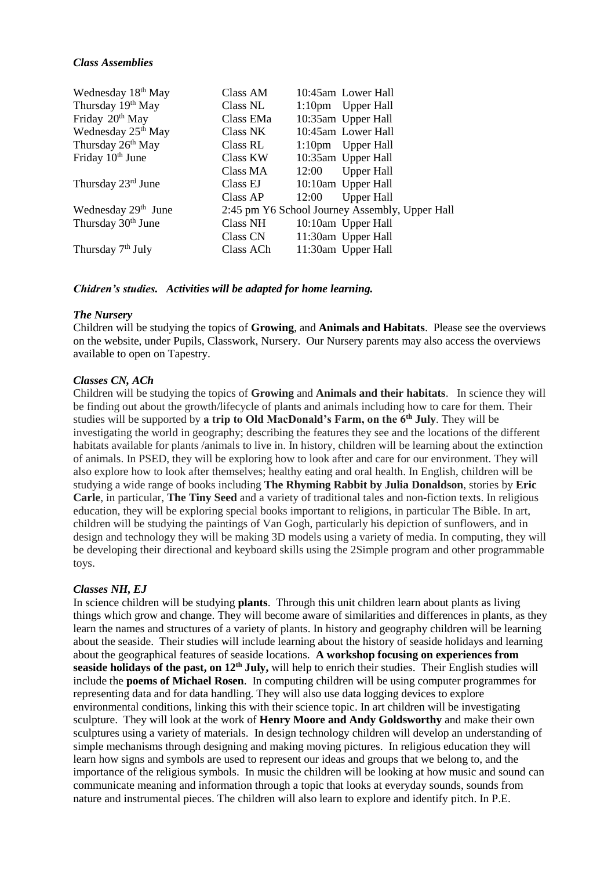### *Class Assemblies*

| Wednesday 18 <sup>th</sup> May  | Class AM        |       | 10:45am Lower Hall                             |
|---------------------------------|-----------------|-------|------------------------------------------------|
| Thursday 19 <sup>th</sup> May   | Class NL        |       | 1:10pm Upper Hall                              |
| Friday 20 <sup>th</sup> May     | Class EMa       |       | 10:35am Upper Hall                             |
| Wednesday 25 <sup>th</sup> May  | Class NK        |       | 10:45am Lower Hall                             |
| Thursday 26 <sup>th</sup> May   | Class RL        |       | 1:10pm Upper Hall                              |
| Friday 10 <sup>th</sup> June    | Class KW        |       | 10:35am Upper Hall                             |
|                                 | Class MA        | 12:00 | <b>Upper Hall</b>                              |
| Thursday $23rd$ June            | Class EJ        |       | 10:10am Upper Hall                             |
|                                 | Class AP        | 12:00 | <b>Upper Hall</b>                              |
| Wednesday 29 <sup>th</sup> June |                 |       | 2:45 pm Y6 School Journey Assembly, Upper Hall |
| Thursday 30 <sup>th</sup> June  | <b>Class NH</b> |       | 10:10am Upper Hall                             |
|                                 | Class CN        |       | 11:30am Upper Hall                             |
| Thursday 7 <sup>th</sup> July   | Class ACh       |       | 11:30am Upper Hall                             |

*Chidren's studies. Activities will be adapted for home learning.*

## *The Nursery*

Children will be studying the topics of **Growing**, and **Animals and Habitats**. Please see the overviews on the website, under Pupils, Classwork, Nursery. Our Nursery parents may also access the overviews available to open on Tapestry.

# *Classes CN, ACh*

Children will be studying the topics of **Growing** and **Animals and their habitats**. In science they will be finding out about the growth/lifecycle of plants and animals including how to care for them. Their studies will be supported by **a trip to Old MacDonald's Farm, on the 6th July**. They will be investigating the world in geography; describing the features they see and the locations of the different habitats available for plants /animals to live in. In history, children will be learning about the extinction of animals. In PSED, they will be exploring how to look after and care for our environment. They will also explore how to look after themselves; healthy eating and oral health. In English, children will be studying a wide range of books including **The Rhyming Rabbit by Julia Donaldson**, stories by **Eric Carle**, in particular, **The Tiny Seed** and a variety of traditional tales and non-fiction texts. In religious education, they will be exploring special books important to religions, in particular The Bible. In art, children will be studying the paintings of Van Gogh, particularly his depiction of sunflowers, and in design and technology they will be making 3D models using a variety of media. In computing, they will be developing their directional and keyboard skills using the 2Simple program and other programmable toys.

# *Classes NH, EJ*

In science children will be studying **plants**. Through this unit children learn about plants as living things which grow and change. They will become aware of similarities and differences in plants, as they learn the names and structures of a variety of plants. In history and geography children will be learning about the seaside. Their studies will include learning about the history of seaside holidays and learning about the geographical features of seaside locations. **A workshop focusing on experiences from seaside holidays of the past, on 12th July,** will help to enrich their studies. Their English studies will include the **poems of Michael Rosen**. In computing children will be using computer programmes for representing data and for data handling. They will also use data logging devices to explore environmental conditions, linking this with their science topic. In art children will be investigating sculpture. They will look at the work of **Henry Moore and Andy Goldsworthy** and make their own sculptures using a variety of materials. In design technology children will develop an understanding of simple mechanisms through designing and making moving pictures. In religious education they will learn how signs and symbols are used to represent our ideas and groups that we belong to, and the importance of the religious symbols. In music the children will be looking at how music and sound can communicate meaning and information through a topic that looks at everyday sounds, sounds from nature and instrumental pieces. The children will also learn to explore and identify pitch. In P.E.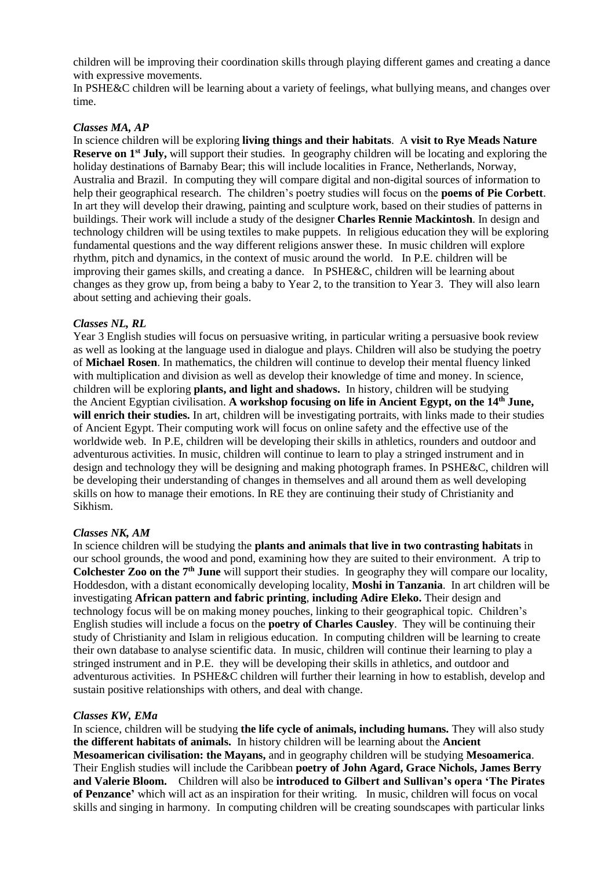children will be improving their coordination skills through playing different games and creating a dance with expressive movements.

In PSHE&C children will be learning about a variety of feelings, what bullying means, and changes over time.

#### *Classes MA, AP*

In science children will be exploring **living things and their habitats**. A **visit to Rye Meads Nature Reserve on 1st July,** will support their studies. In geography children will be locating and exploring the holiday destinations of Barnaby Bear; this will include localities in France, Netherlands, Norway, Australia and Brazil. In computing they will compare digital and non-digital sources of information to help their geographical research. The children's poetry studies will focus on the **poems of Pie Corbett**. In art they will develop their drawing, painting and sculpture work, based on their studies of patterns in buildings. Their work will include a study of the designer **Charles Rennie Mackintosh**. In design and technology children will be using textiles to make puppets. In religious education they will be exploring fundamental questions and the way different religions answer these. In music children will explore rhythm, pitch and dynamics, in the context of music around the world. In P.E. children will be improving their games skills, and creating a dance. In PSHE&C, children will be learning about changes as they grow up, from being a baby to Year 2, to the transition to Year 3. They will also learn about setting and achieving their goals.

#### *Classes NL, RL*

Year 3 English studies will focus on persuasive writing, in particular writing a persuasive book review as well as looking at the language used in dialogue and plays. Children will also be studying the poetry of **Michael Rosen**. In mathematics, the children will continue to develop their mental fluency linked with multiplication and division as well as develop their knowledge of time and money. In science, children will be exploring **plants, and light and shadows.** In history, children will be studying the Ancient Egyptian civilisation. **A workshop focusing on life in Ancient Egypt, on the 14th June, will enrich their studies.** In art, children will be investigating portraits, with links made to their studies of Ancient Egypt. Their computing work will focus on online safety and the effective use of the worldwide web. In P.E, children will be developing their skills in athletics, rounders and outdoor and adventurous activities. In music, children will continue to learn to play a stringed instrument and in design and technology they will be designing and making photograph frames. In PSHE&C, children will be developing their understanding of changes in themselves and all around them as well developing skills on how to manage their emotions. In RE they are continuing their study of Christianity and Sikhism.

#### *Classes NK, AM*

In science children will be studying the **plants and animals that live in two contrasting habitats** in our school grounds, the wood and pond, examining how they are suited to their environment. A trip to **Colchester Zoo on the 7th June** will support their studies. In geography they will compare our locality, Hoddesdon, with a distant economically developing locality, **Moshi in Tanzania**. In art children will be investigating **African pattern and fabric printing**, **including Adire Eleko.** Their design and technology focus will be on making money pouches, linking to their geographical topic*.* Children's English studies will include a focus on the **poetry of Charles Causley**. They will be continuing their study of Christianity and Islam in religious education. In computing children will be learning to create their own database to analyse scientific data. In music, children will continue their learning to play a stringed instrument and in P.E. they will be developing their skills in athletics, and outdoor and adventurous activities. In PSHE&C children will further their learning in how to establish, develop and sustain positive relationships with others, and deal with change.

#### *Classes KW, EMa*

In science, children will be studying **the life cycle of animals, including humans.** They will also study **the different habitats of animals.** In history children will be learning about the **Ancient Mesoamerican civilisation: the Mayans,** and in geography children will be studying **Mesoamerica**. Their English studies will include the Caribbean **poetry of John Agard, Grace Nichols, James Berry and Valerie Bloom.** Children will also be **introduced to Gilbert and Sullivan's opera 'The Pirates of Penzance'** which will act as an inspiration for their writing. In music, children will focus on vocal skills and singing in harmony. In computing children will be creating soundscapes with particular links